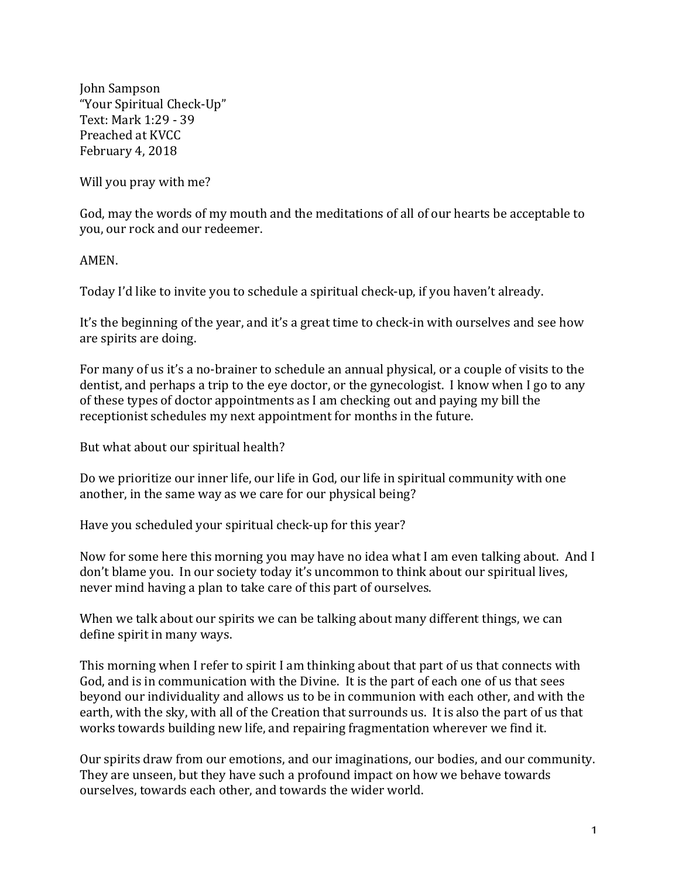John Sampson "Your Spiritual Check-Up" Text: Mark 1:29 - 39 Preached at KVCC February 4, 2018

Will you pray with me?

God, may the words of my mouth and the meditations of all of our hearts be acceptable to you, our rock and our redeemer.

AMEN.

Today I'd like to invite you to schedule a spiritual check-up, if you haven't already.

It's the beginning of the year, and it's a great time to check-in with ourselves and see how are spirits are doing.

For many of us it's a no-brainer to schedule an annual physical, or a couple of visits to the dentist, and perhaps a trip to the eye doctor, or the gynecologist. I know when I go to any of these types of doctor appointments as I am checking out and paying my bill the receptionist schedules my next appointment for months in the future.

But what about our spiritual health?

Do we prioritize our inner life, our life in God, our life in spiritual community with one another, in the same way as we care for our physical being?

Have you scheduled your spiritual check-up for this year?

Now for some here this morning you may have no idea what I am even talking about. And I don't blame you. In our society today it's uncommon to think about our spiritual lives, never mind having a plan to take care of this part of ourselves.

When we talk about our spirits we can be talking about many different things, we can define spirit in many ways.

This morning when I refer to spirit I am thinking about that part of us that connects with God, and is in communication with the Divine. It is the part of each one of us that sees beyond our individuality and allows us to be in communion with each other, and with the earth, with the sky, with all of the Creation that surrounds us. It is also the part of us that works towards building new life, and repairing fragmentation wherever we find it.

Our spirits draw from our emotions, and our imaginations, our bodies, and our community. They are unseen, but they have such a profound impact on how we behave towards ourselves, towards each other, and towards the wider world.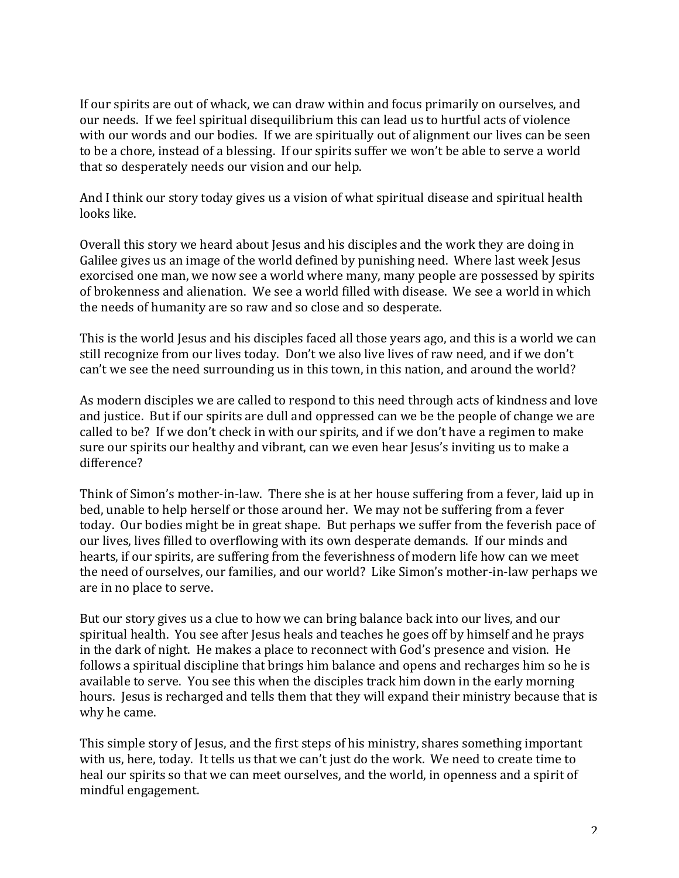If our spirits are out of whack, we can draw within and focus primarily on ourselves, and our needs. If we feel spiritual disequilibrium this can lead us to hurtful acts of violence with our words and our bodies. If we are spiritually out of alignment our lives can be seen to be a chore, instead of a blessing. If our spirits suffer we won't be able to serve a world that so desperately needs our vision and our help.

And I think our story today gives us a vision of what spiritual disease and spiritual health looks like.

Overall this story we heard about Jesus and his disciples and the work they are doing in Galilee gives us an image of the world defined by punishing need. Where last week Jesus exorcised one man, we now see a world where many, many people are possessed by spirits of brokenness and alienation. We see a world filled with disease. We see a world in which the needs of humanity are so raw and so close and so desperate.

This is the world Jesus and his disciples faced all those years ago, and this is a world we can still recognize from our lives today. Don't we also live lives of raw need, and if we don't can't we see the need surrounding us in this town, in this nation, and around the world?

As modern disciples we are called to respond to this need through acts of kindness and love and justice. But if our spirits are dull and oppressed can we be the people of change we are called to be? If we don't check in with our spirits, and if we don't have a regimen to make sure our spirits our healthy and vibrant, can we even hear Jesus's inviting us to make a difference?

Think of Simon's mother-in-law. There she is at her house suffering from a fever, laid up in bed, unable to help herself or those around her. We may not be suffering from a fever today. Our bodies might be in great shape. But perhaps we suffer from the feverish pace of our lives, lives filled to overflowing with its own desperate demands. If our minds and hearts, if our spirits, are suffering from the feverishness of modern life how can we meet the need of ourselves, our families, and our world? Like Simon's mother-in-law perhaps we are in no place to serve.

But our story gives us a clue to how we can bring balance back into our lives, and our spiritual health. You see after Jesus heals and teaches he goes off by himself and he prays in the dark of night. He makes a place to reconnect with God's presence and vision. He follows a spiritual discipline that brings him balance and opens and recharges him so he is available to serve. You see this when the disciples track him down in the early morning hours. Jesus is recharged and tells them that they will expand their ministry because that is why he came.

This simple story of Jesus, and the first steps of his ministry, shares something important with us, here, today. It tells us that we can't just do the work. We need to create time to heal our spirits so that we can meet ourselves, and the world, in openness and a spirit of mindful engagement.